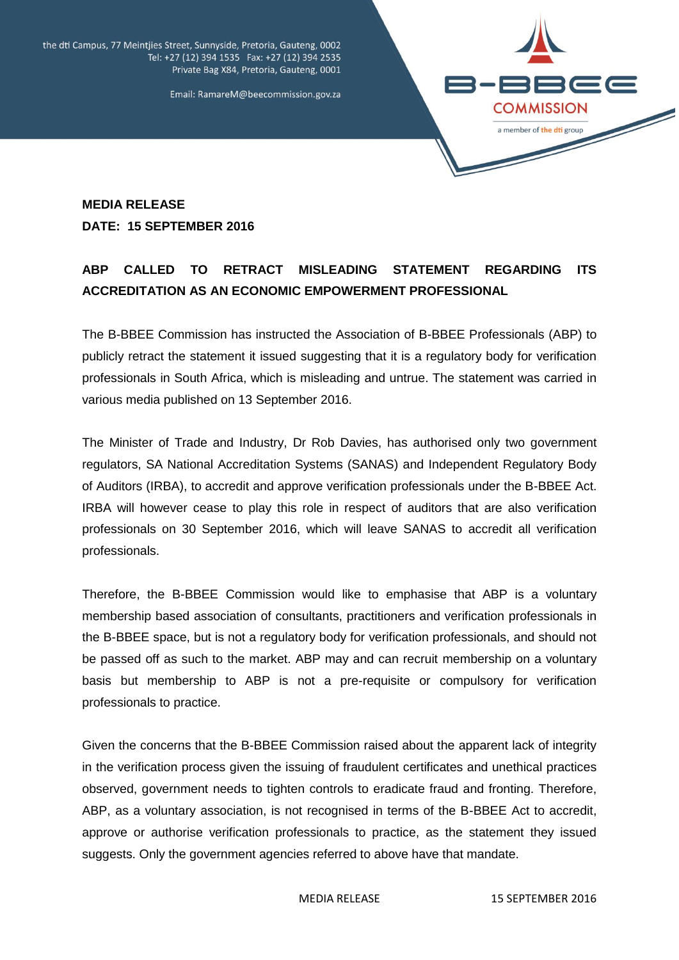the dti Campus, 77 Meintjies Street, Sunnyside, Pretoria, Gauteng, 0002 Tel: +27 (12) 394 1535 Fax: +27 (12) 394 2535 Private Bag X84, Pretoria, Gauteng, 0001

Email: RamareM@beecommission.gov.za



## **MEDIA RELEASE DATE: 15 SEPTEMBER 2016**

## **ABP CALLED TO RETRACT MISLEADING STATEMENT REGARDING ITS ACCREDITATION AS AN ECONOMIC EMPOWERMENT PROFESSIONAL**

The B-BBEE Commission has instructed the Association of B-BBEE Professionals (ABP) to publicly retract the statement it issued suggesting that it is a regulatory body for verification professionals in South Africa, which is misleading and untrue. The statement was carried in various media published on 13 September 2016.

The Minister of Trade and Industry, Dr Rob Davies, has authorised only two government regulators, SA National Accreditation Systems (SANAS) and Independent Regulatory Body of Auditors (IRBA), to accredit and approve verification professionals under the B-BBEE Act. IRBA will however cease to play this role in respect of auditors that are also verification professionals on 30 September 2016, which will leave SANAS to accredit all verification professionals.

Therefore, the B-BBEE Commission would like to emphasise that ABP is a voluntary membership based association of consultants, practitioners and verification professionals in the B-BBEE space, but is not a regulatory body for verification professionals, and should not be passed off as such to the market. ABP may and can recruit membership on a voluntary basis but membership to ABP is not a pre-requisite or compulsory for verification professionals to practice.

Given the concerns that the B-BBEE Commission raised about the apparent lack of integrity in the verification process given the issuing of fraudulent certificates and unethical practices observed, government needs to tighten controls to eradicate fraud and fronting. Therefore, ABP, as a voluntary association, is not recognised in terms of the B-BBEE Act to accredit, approve or authorise verification professionals to practice, as the statement they issued suggests. Only the government agencies referred to above have that mandate.